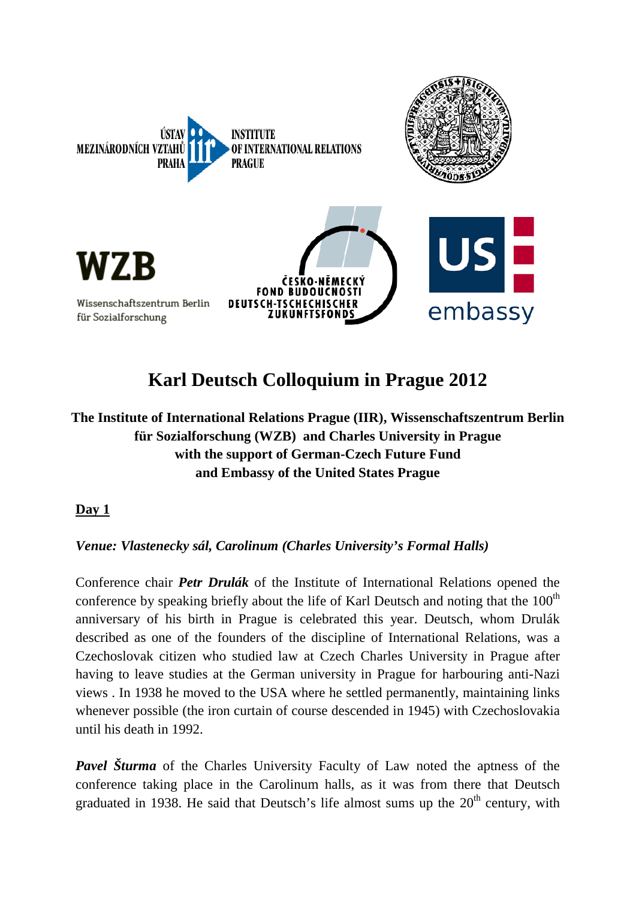

# **Karl Deutsch Colloquium in Prague 2012**

**The Institute of International Relations Prague (IIR), Wissenschaftszentrum Berlin für Sozialforschung (WZB) and Charles University in Prague with the support of German-Czech Future Fund and Embassy of the United States Prague**

### **Day 1**

### *Venue: Vlastenecky sál, Carolinum (Charles University's Formal Halls)*

Conference chair *Petr Drulák* of the Institute of International Relations opened the conference by speaking briefly about the life of Karl Deutsch and noting that the  $100<sup>th</sup>$ anniversary of his birth in Prague is celebrated this year. Deutsch, whom Drulák described as one of the founders of the discipline of International Relations, was a Czechoslovak citizen who studied law at Czech Charles University in Prague after having to leave studies at the German university in Prague for harbouring anti-Nazi views . In 1938 he moved to the USA where he settled permanently, maintaining links whenever possible (the iron curtain of course descended in 1945) with Czechoslovakia until his death in 1992.

*Pavel Šturma* of the Charles University Faculty of Law noted the aptness of the conference taking place in the Carolinum halls, as it was from there that Deutsch graduated in 1938. He said that Deutsch's life almost sums up the  $20<sup>th</sup>$  century, with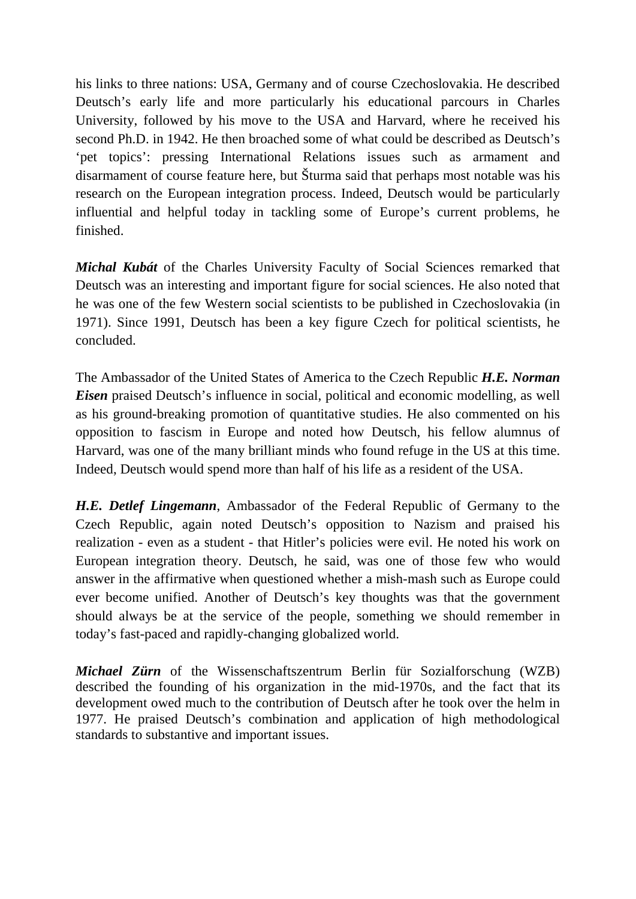his links to three nations: USA, Germany and of course Czechoslovakia. He described Deutsch's early life and more particularly his educational parcours in Charles University, followed by his move to the USA and Harvard, where he received his second Ph.D. in 1942. He then broached some of what could be described as Deutsch's 'pet topics': pressing International Relations issues such as armament and disarmament of course feature here, but Šturma said that perhaps most notable was his research on the European integration process. Indeed, Deutsch would be particularly influential and helpful today in tackling some of Europe's current problems, he finished.

*Michal Kubát* of the Charles University Faculty of Social Sciences remarked that Deutsch was an interesting and important figure for social sciences. He also noted that he was one of the few Western social scientists to be published in Czechoslovakia (in 1971). Since 1991, Deutsch has been a key figure Czech for political scientists, he concluded.

The Ambassador of the United States of America to the Czech Republic *H.E. Norman Eisen* praised Deutsch's influence in social, political and economic modelling, as well as his ground-breaking promotion of quantitative studies. He also commented on his opposition to fascism in Europe and noted how Deutsch, his fellow alumnus of Harvard, was one of the many brilliant minds who found refuge in the US at this time. Indeed, Deutsch would spend more than half of his life as a resident of the USA.

*H.E. Detlef Lingemann*, Ambassador of the Federal Republic of Germany to the Czech Republic, again noted Deutsch's opposition to Nazism and praised his realization - even as a student - that Hitler's policies were evil. He noted his work on European integration theory. Deutsch, he said, was one of those few who would answer in the affirmative when questioned whether a mish-mash such as Europe could ever become unified. Another of Deutsch's key thoughts was that the government should always be at the service of the people, something we should remember in today's fast-paced and rapidly-changing globalized world.

*Michael Zürn* of the Wissenschaftszentrum Berlin für Sozialforschung (WZB) described the founding of his organization in the mid-1970s, and the fact that its development owed much to the contribution of Deutsch after he took over the helm in 1977. He praised Deutsch's combination and application of high methodological standards to substantive and important issues.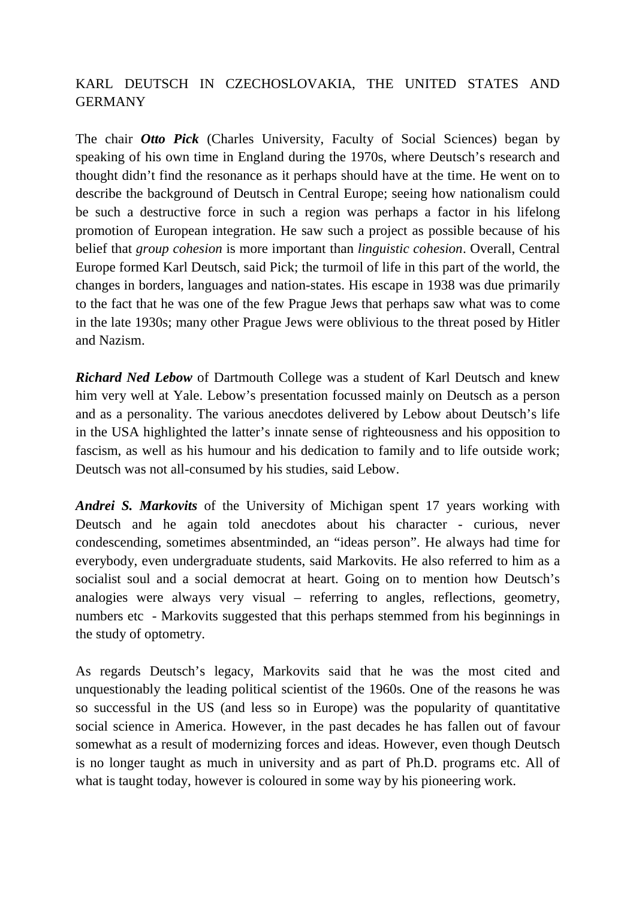# KARL DEUTSCH IN CZECHOSLOVAKIA, THE UNITED STATES AND GERMANY

The chair *Otto Pick* (Charles University, Faculty of Social Sciences) began by speaking of his own time in England during the 1970s, where Deutsch's research and thought didn't find the resonance as it perhaps should have at the time. He went on to describe the background of Deutsch in Central Europe; seeing how nationalism could be such a destructive force in such a region was perhaps a factor in his lifelong promotion of European integration. He saw such a project as possible because of his belief that *group cohesion* is more important than *linguistic cohesion*. Overall, Central Europe formed Karl Deutsch, said Pick; the turmoil of life in this part of the world, the changes in borders, languages and nation-states. His escape in 1938 was due primarily to the fact that he was one of the few Prague Jews that perhaps saw what was to come in the late 1930s; many other Prague Jews were oblivious to the threat posed by Hitler and Nazism.

*Richard Ned Lebow* of Dartmouth College was a student of Karl Deutsch and knew him very well at Yale. Lebow's presentation focussed mainly on Deutsch as a person and as a personality. The various anecdotes delivered by Lebow about Deutsch's life in the USA highlighted the latter's innate sense of righteousness and his opposition to fascism, as well as his humour and his dedication to family and to life outside work; Deutsch was not all-consumed by his studies, said Lebow.

*Andrei S. Markovits* of the University of Michigan spent 17 years working with Deutsch and he again told anecdotes about his character - curious, never condescending, sometimes absentminded, an "ideas person". He always had time for everybody, even undergraduate students, said Markovits. He also referred to him as a socialist soul and a social democrat at heart. Going on to mention how Deutsch's analogies were always very visual – referring to angles, reflections, geometry, numbers etc - Markovits suggested that this perhaps stemmed from his beginnings in the study of optometry.

As regards Deutsch's legacy, Markovits said that he was the most cited and unquestionably the leading political scientist of the 1960s. One of the reasons he was so successful in the US (and less so in Europe) was the popularity of quantitative social science in America. However, in the past decades he has fallen out of favour somewhat as a result of modernizing forces and ideas. However, even though Deutsch is no longer taught as much in university and as part of Ph.D. programs etc. All of what is taught today, however is coloured in some way by his pioneering work.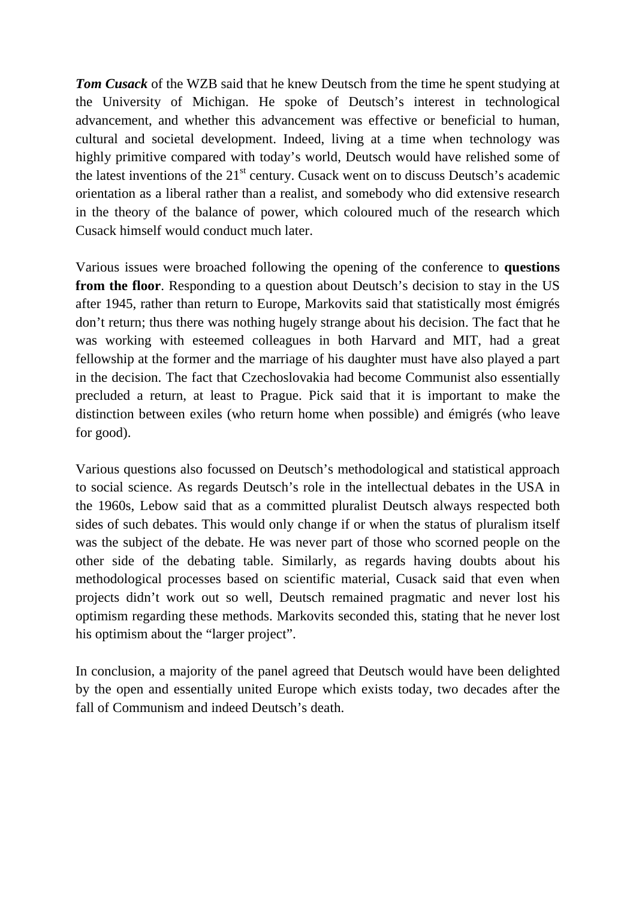*Tom Cusack* of the WZB said that he knew Deutsch from the time he spent studying at the University of Michigan. He spoke of Deutsch's interest in technological advancement, and whether this advancement was effective or beneficial to human, cultural and societal development. Indeed, living at a time when technology was highly primitive compared with today's world, Deutsch would have relished some of the latest inventions of the  $21<sup>st</sup>$  century. Cusack went on to discuss Deutsch's academic orientation as a liberal rather than a realist, and somebody who did extensive research in the theory of the balance of power, which coloured much of the research which Cusack himself would conduct much later.

Various issues were broached following the opening of the conference to **questions from the floor**. Responding to a question about Deutsch's decision to stay in the US after 1945, rather than return to Europe, Markovits said that statistically most émigrés don't return; thus there was nothing hugely strange about his decision. The fact that he was working with esteemed colleagues in both Harvard and MIT, had a great fellowship at the former and the marriage of his daughter must have also played a part in the decision. The fact that Czechoslovakia had become Communist also essentially precluded a return, at least to Prague. Pick said that it is important to make the distinction between exiles (who return home when possible) and émigrés (who leave for good).

Various questions also focussed on Deutsch's methodological and statistical approach to social science. As regards Deutsch's role in the intellectual debates in the USA in the 1960s, Lebow said that as a committed pluralist Deutsch always respected both sides of such debates. This would only change if or when the status of pluralism itself was the subject of the debate. He was never part of those who scorned people on the other side of the debating table. Similarly, as regards having doubts about his methodological processes based on scientific material, Cusack said that even when projects didn't work out so well, Deutsch remained pragmatic and never lost his optimism regarding these methods. Markovits seconded this, stating that he never lost his optimism about the "larger project".

In conclusion, a majority of the panel agreed that Deutsch would have been delighted by the open and essentially united Europe which exists today, two decades after the fall of Communism and indeed Deutsch's death.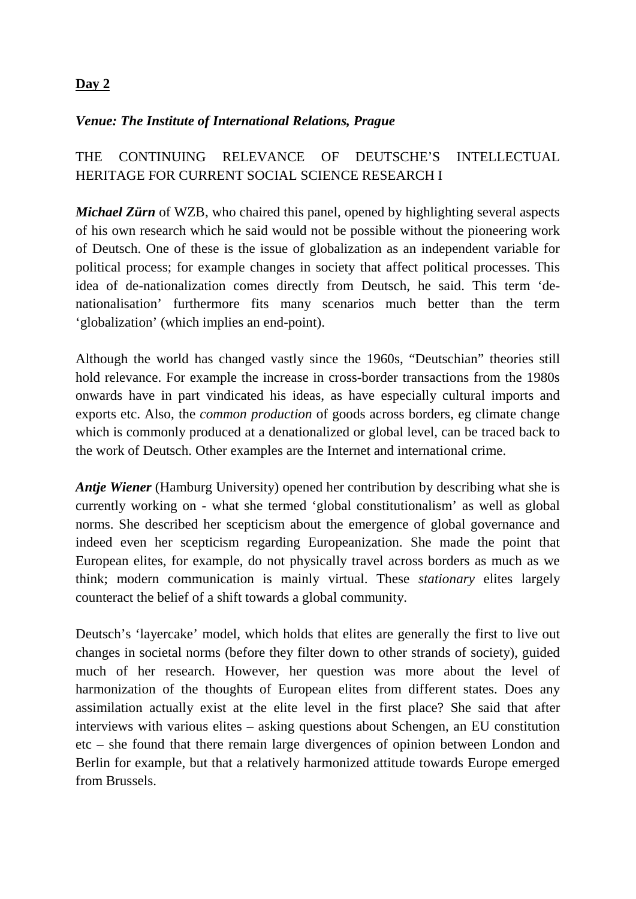### **Day 2**

#### *Venue: The Institute of International Relations, Prague*

# THE CONTINUING RELEVANCE OF DEUTSCHE'S INTELLECTUAL HERITAGE FOR CURRENT SOCIAL SCIENCE RESEARCH I

*Michael Zürn* of WZB, who chaired this panel, opened by highlighting several aspects of his own research which he said would not be possible without the pioneering work of Deutsch. One of these is the issue of globalization as an independent variable for political process; for example changes in society that affect political processes. This idea of de-nationalization comes directly from Deutsch, he said. This term 'denationalisation' furthermore fits many scenarios much better than the term 'globalization' (which implies an end-point).

Although the world has changed vastly since the 1960s, "Deutschian" theories still hold relevance. For example the increase in cross-border transactions from the 1980s onwards have in part vindicated his ideas, as have especially cultural imports and exports etc. Also, the *common production* of goods across borders, eg climate change which is commonly produced at a denationalized or global level, can be traced back to the work of Deutsch. Other examples are the Internet and international crime.

*Antje Wiener* (Hamburg University) opened her contribution by describing what she is currently working on - what she termed 'global constitutionalism' as well as global norms. She described her scepticism about the emergence of global governance and indeed even her scepticism regarding Europeanization. She made the point that European elites, for example, do not physically travel across borders as much as we think; modern communication is mainly virtual. These *stationary* elites largely counteract the belief of a shift towards a global community.

Deutsch's 'layercake' model, which holds that elites are generally the first to live out changes in societal norms (before they filter down to other strands of society), guided much of her research. However, her question was more about the level of harmonization of the thoughts of European elites from different states. Does any assimilation actually exist at the elite level in the first place? She said that after interviews with various elites – asking questions about Schengen, an EU constitution etc – she found that there remain large divergences of opinion between London and Berlin for example, but that a relatively harmonized attitude towards Europe emerged from Brussels.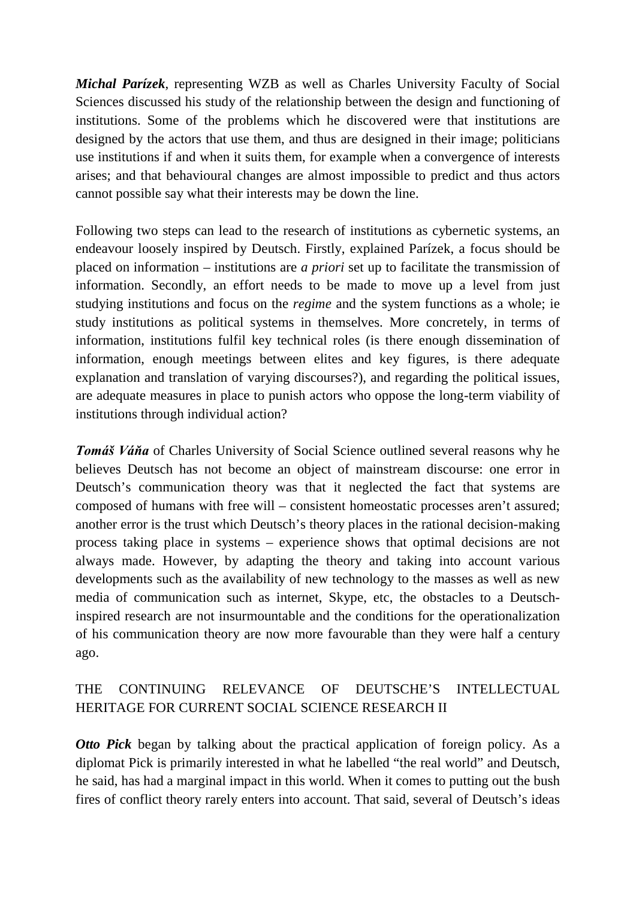*Michal Parízek*, representing WZB as well as Charles University Faculty of Social Sciences discussed his study of the relationship between the design and functioning of institutions. Some of the problems which he discovered were that institutions are designed by the actors that use them, and thus are designed in their image; politicians use institutions if and when it suits them, for example when a convergence of interests arises; and that behavioural changes are almost impossible to predict and thus actors cannot possible say what their interests may be down the line.

Following two steps can lead to the research of institutions as cybernetic systems, an endeavour loosely inspired by Deutsch. Firstly, explained Parízek, a focus should be placed on information – institutions are *a priori* set up to facilitate the transmission of information. Secondly, an effort needs to be made to move up a level from just studying institutions and focus on the *regime* and the system functions as a whole; ie study institutions as political systems in themselves. More concretely, in terms of information, institutions fulfil key technical roles (is there enough dissemination of information, enough meetings between elites and key figures, is there adequate explanation and translation of varying discourses?), and regarding the political issues, are adequate measures in place to punish actors who oppose the long-term viability of institutions through individual action?

*Tomáš Váňa* of Charles University of Social Science outlined several reasons why he believes Deutsch has not become an object of mainstream discourse: one error in Deutsch's communication theory was that it neglected the fact that systems are composed of humans with free will – consistent homeostatic processes aren't assured; another error is the trust which Deutsch's theory places in the rational decision-making process taking place in systems – experience shows that optimal decisions are not always made. However, by adapting the theory and taking into account various developments such as the availability of new technology to the masses as well as new media of communication such as internet, Skype, etc, the obstacles to a Deutschinspired research are not insurmountable and the conditions for the operationalization of his communication theory are now more favourable than they were half a century ago.

# THE CONTINUING RELEVANCE OF DEUTSCHE'S INTELLECTUAL HERITAGE FOR CURRENT SOCIAL SCIENCE RESEARCH II

*Otto Pick* began by talking about the practical application of foreign policy. As a diplomat Pick is primarily interested in what he labelled "the real world" and Deutsch, he said, has had a marginal impact in this world. When it comes to putting out the bush fires of conflict theory rarely enters into account. That said, several of Deutsch's ideas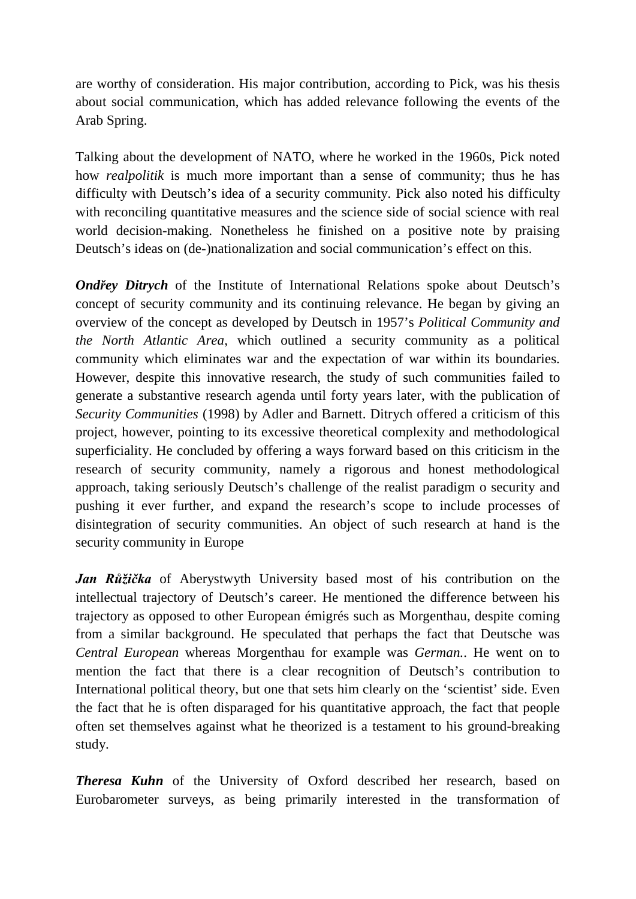are worthy of consideration. His major contribution, according to Pick, was his thesis about social communication, which has added relevance following the events of the Arab Spring.

Talking about the development of NATO, where he worked in the 1960s, Pick noted how *realpolitik* is much more important than a sense of community; thus he has difficulty with Deutsch's idea of a security community. Pick also noted his difficulty with reconciling quantitative measures and the science side of social science with real world decision-making. Nonetheless he finished on a positive note by praising Deutsch's ideas on (de-)nationalization and social communication's effect on this.

*Ondřey Ditrych* of the Institute of International Relations spoke about Deutsch's concept of security community and its continuing relevance. He began by giving an overview of the concept as developed by Deutsch in 1957's *Political Community and the North Atlantic Area*, which outlined a security community as a political community which eliminates war and the expectation of war within its boundaries. However, despite this innovative research, the study of such communities failed to generate a substantive research agenda until forty years later, with the publication of *Security Communities* (1998) by Adler and Barnett. Ditrych offered a criticism of this project, however, pointing to its excessive theoretical complexity and methodological superficiality. He concluded by offering a ways forward based on this criticism in the research of security community, namely a rigorous and honest methodological approach, taking seriously Deutsch's challenge of the realist paradigm o security and pushing it ever further, and expand the research's scope to include processes of disintegration of security communities. An object of such research at hand is the security community in Europe

*Jan Růžička* of Aberystwyth University based most of his contribution on the intellectual trajectory of Deutsch's career. He mentioned the difference between his trajectory as opposed to other European émigrés such as Morgenthau, despite coming from a similar background. He speculated that perhaps the fact that Deutsche was *Central European* whereas Morgenthau for example was *German.*. He went on to mention the fact that there is a clear recognition of Deutsch's contribution to International political theory, but one that sets him clearly on the 'scientist' side. Even the fact that he is often disparaged for his quantitative approach, the fact that people often set themselves against what he theorized is a testament to his ground-breaking study.

*Theresa Kuhn* of the University of Oxford described her research, based on Eurobarometer surveys, as being primarily interested in the transformation of